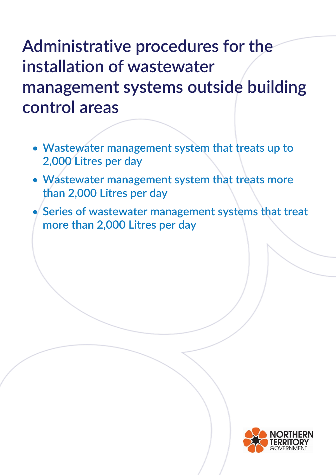- **Wastewater management system that treats up to 2,000 Litres per day**
- **Wastewater management system that treats more than 2,000 Litres per day**
- **Series of wastewater management systems that treat more than 2,000 Litres per day**

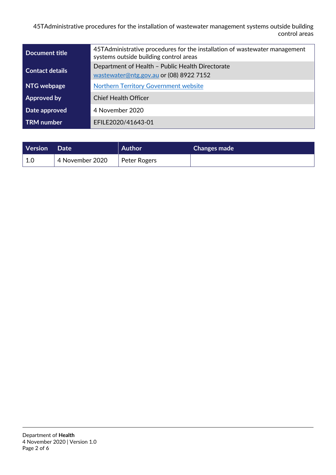| Document title         | 45TAdministrative procedures for the installation of wastewater management<br>systems outside building control areas |  |  |
|------------------------|----------------------------------------------------------------------------------------------------------------------|--|--|
| <b>Contact details</b> | Department of Health - Public Health Directorate<br>wastewater@ntg.gov.au or (08) 8922 7152                          |  |  |
| NTG webpage            | <b>Northern Territory Government website</b>                                                                         |  |  |
| Approved by            | <b>Chief Health Officer</b>                                                                                          |  |  |
| Date approved          | 4 November 2020                                                                                                      |  |  |
| <b>TRM</b> number      | EFILE2020/41643-01                                                                                                   |  |  |

| Version | <b>Date</b>     | <b>Author</b> | <b>Changes made</b> |
|---------|-----------------|---------------|---------------------|
| 1.0     | 4 November 2020 | Peter Rogers  |                     |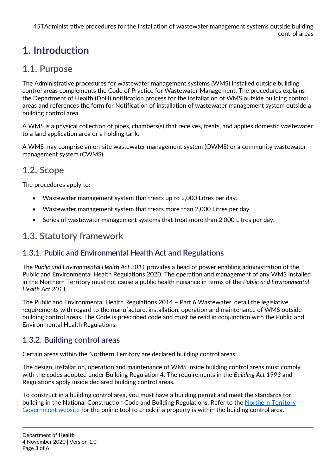# **1. Introduction**

#### **1.1. Purpose**

The Administrative procedures for wastewater management systems (WMS) installed outside building control areas complements the Code of Practice for Wastewater Management. The procedures explains the Department of Health (DoH) notification process for the installation of WMS outside building control areas and references the form for Notification of installation of wastewater management system outside a building control area.

A WMS is a physical collection of pipes, chambers(s) that receives, treats, and applies domestic wastewater to a land application area or a holding tank.

A WMS may comprise an on-site wastewater management system (OWMS) or a community wastewater management system (CWMS).

## **1.2. Scope**

The procedures apply to:

- Wastewater management system that treats up to 2,000 Litres per day.
- Wastewater management system that treats more than 2,000 Litres per day.
- Series of wastewater management systems that treat more than 2,000 Litres per day.

#### **1.3. Statutory framework**

#### **1.3.1. Public and Environmental Health Act and Regulations**

The *Public and Environmental Health Act 2011* provides a head of power enabling administration of the Public and Environmental Health Regulations 2020. The operation and management of any WMS installed in the Northern Territory must not cause a public health nuisance in terms of the *Public and Environmental Health Act 2011.*

The Public and Environmental Health Regulations 2014 – Part 6 Wastewater, detail the legislative requirements with regard to the manufacture, installation, operation and maintenance of WMS outside building control areas. The Code is prescribed code and must be read in conjunction with the Public and Environmental Health Regulations.

#### **1.3.2. Building control areas**

Certain areas within the Northern Territory are declared building control areas.

The design, installation, operation and maintenance of WMS inside building control areas must comply with the codes adopted under Building Regulation 4. The requirements in the *Building Act 1993* and Regulations apply inside declared building control areas.

To construct in a building control area, you must have a building permit and meet the standards for building in the National Construction Code and Building Regulations. Refer to the [Northern Territory](http://www.ntlis.nt.gov.au/building-control/)  [Government](http://www.ntlis.nt.gov.au/building-control/) website for the online tool to check if a property is within the building control area.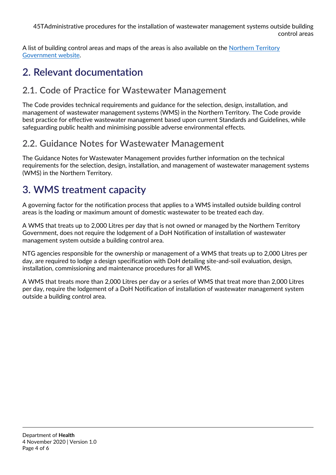A list of building control areas and maps of the areas is also available on the [Northern Territory](https://nt.gov.au/property/building/build-in-a-controlled-area/building-control-areas/requirements-in-building-control-areas)  [Government website.](https://nt.gov.au/property/building/build-in-a-controlled-area/building-control-areas/requirements-in-building-control-areas)

## **2. Relevant documentation**

#### **2.1. Code of Practice for Wastewater Management**

The Code provides technical requirements and guidance for the selection, design, installation, and management of wastewater management systems (WMS) in the Northern Territory. The Code provide best practice for effective wastewater management based upon current Standards and Guidelines, while safeguarding public health and minimising possible adverse environmental effects.

## **2.2. Guidance Notes for Wastewater Management**

The Guidance Notes for Wastewater Management provides further information on the technical requirements for the selection, design, installation, and management of wastewater management systems (WMS) in the Northern Territory.

## **3. WMS treatment capacity**

A governing factor for the notification process that applies to a WMS installed outside building control areas is the loading or maximum amount of domestic wastewater to be treated each day.

A WMS that treats up to 2,000 Litres per day that is not owned or managed by the Northern Territory Government, does not require the lodgement of a DoH Notification of installation of wastewater management system outside a building control area.

NTG agencies responsible for the ownership or management of a WMS that treats up to 2,000 Litres per day, are required to lodge a design specification with DoH detailing site-and-soil evaluation, design, installation, commissioning and maintenance procedures for all WMS.

A WMS that treats more than 2,000 Litres per day or a series of WMS that treat more than 2,000 Litres per day, require the lodgement of a DoH Notification of installation of wastewater management system outside a building control area.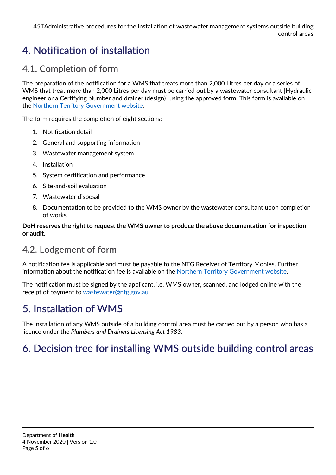## **4. Notification of installation**

#### **4.1. Completion of form**

The preparation of the notification for a WMS that treats more than 2,000 Litres per day or a series of WMS that treat more than 2,000 Litres per day must be carried out by a wastewater consultant [Hydraulic engineer or a Certifying plumber and drainer (design)] using the approved form. This form is available on the [Northern Territory Government website.](https://nt.gov.au/property/building/install-a-wastewater-system/wastewater-management/outside-building-control-areas)

The form requires the completion of eight sections:

- 1. Notification detail
- 2. General and supporting information
- 3. Wastewater management system
- 4. Installation
- 5. System certification and performance
- 6. Site-and-soil evaluation
- 7. Wastewater disposal
- 8. Documentation to be provided to the WMS owner by the wastewater consultant upon completion of works.

#### **DoH reserves the right to request the WMS owner to produce the above documentation for inspection or audit.**

#### **4.2. Lodgement of form**

A notification fee is applicable and must be payable to the NTG Receiver of Territory Monies. Further information about the notification fee is available on the [Northern Territory Government website.](https://nt.gov.au/property/building/install-a-wastewater-system/wastewater-management/outside-building-control-areas)

The notification must be signed by the applicant, i.e. WMS owner, scanned, and lodged online with the receipt of payment to [wastewater@ntg.gov.au](mailto:wastewater@ntg.gov.au)

# **5. Installation of WMS**

The installation of any WMS outside of a building control area must be carried out by a person who has a licence under the *Plumbers and Drainers Licensing Act 1983*.

## **6. Decision tree for installing WMS outside building control areas**